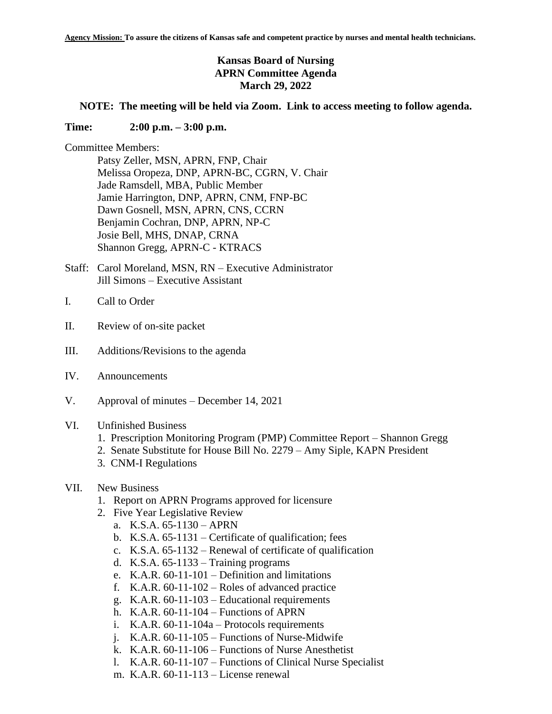# **Kansas Board of Nursing APRN Committee Agenda March 29, 2022**

## **NOTE: The meeting will be held via Zoom. Link to access meeting to follow agenda.**

#### **Time: 2:00 p.m. – 3:00 p.m.**

Committee Members:

Patsy Zeller, MSN, APRN, FNP, Chair Melissa Oropeza, DNP, APRN-BC, CGRN, V. Chair Jade Ramsdell, MBA, Public Member Jamie Harrington, DNP, APRN, CNM, FNP-BC Dawn Gosnell, MSN, APRN, CNS, CCRN Benjamin Cochran, DNP, APRN, NP-C Josie Bell, MHS, DNAP, CRNA Shannon Gregg, APRN-C - KTRACS

- Staff: Carol Moreland, MSN, RN Executive Administrator Jill Simons – Executive Assistant
- I. Call to Order
- II. Review of on-site packet
- III. Additions/Revisions to the agenda
- IV. Announcements
- V. Approval of minutes December 14, 2021

#### VI. Unfinished Business

- 1. Prescription Monitoring Program (PMP) Committee Report Shannon Gregg
- 2. Senate Substitute for House Bill No. 2279 Amy Siple, KAPN President
- 3. CNM-I Regulations

# VII. New Business

- 1. Report on APRN Programs approved for licensure
- 2. Five Year Legislative Review
	- a. K.S.A. 65-1130 APRN
	- b. K.S.A. 65-1131 Certificate of qualification; fees
	- c. K.S.A. 65-1132 Renewal of certificate of qualification
	- d. K.S.A. 65-1133 Training programs
	- e. K.A.R. 60-11-101 Definition and limitations
	- f. K.A.R.  $60-11-102$  Roles of advanced practice
	- g. K.A.R. 60-11-103 Educational requirements
	- h. K.A.R. 60-11-104 Functions of APRN
	- i. K.A.R. 60-11-104a Protocols requirements
	- j. K.A.R. 60-11-105 Functions of Nurse-Midwife
	- k. K.A.R. 60-11-106 Functions of Nurse Anesthetist
	- l. K.A.R. 60-11-107 Functions of Clinical Nurse Specialist
	- m. K.A.R. 60-11-113 License renewal